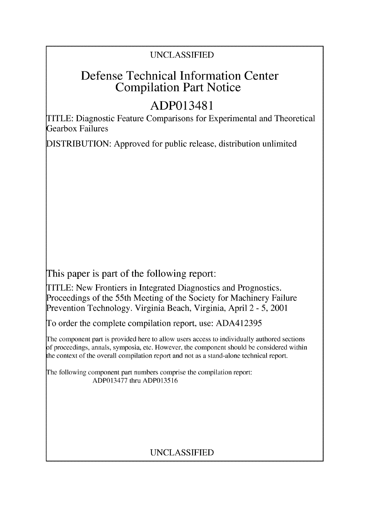### UNCLASSIFIED

## Defense Technical Information Center Compilation Part Notice

# ADP013481

TITLE: Diagnostic Feature Comparisons for Experimental and Theoretical Gearbox Failures

DISTRIBUTION: Approved for public release, distribution unlimited

This paper is part of the following report:

TITLE: New Frontiers in Integrated Diagnostics and Prognostics. Proceedings of the 55th Meeting of the Society for Machinery Failure Prevention Technology. Virginia Beach, Virginia, April 2 - 5, 2001

To order the complete compilation report, use: ADA412395

The component part is provided here to allow users access to individually authored sections **)f** proceedings, annals, symposia, etc. However, the component should be considered within [he context of the overall compilation report and not as a stand-alone technical report.

The following component part numbers comprise the compilation report: ADP013477 thru ADP013516

## UNCLASSIFIED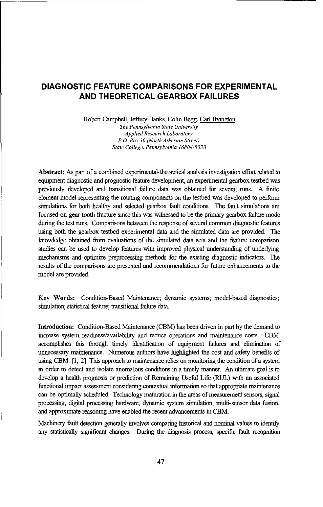#### **DIAGNOSTIC FEATURE COMPARISONS** FOR **EXPERIMENTAL AND** THEORETICAL GEARBOX **FAILURES**

Robert Campbell, Jeffrey Banks, Colin Begg, Carl Byington *The Pennsylvania State University Applied Research Laboratory P.O. Box 30 (North Atherton Street) State College, Pennsylvania 16804-0030*

Abstract: As part of a combined experimental-theoretical analysis investigation effort related to equipment diagnostic and prognostic feature development, an experimental gearbox testbed was previously developed and transitional failure data was obtained for several runs. A finite element model representing the rotating components on the testbed was developed to perform simulations for both healthy and selected gearbox fault conditions. The fault simulations are focused on gear tooth fracture since this was witnessed to be the primary gearbox failure mode during the test runs. Comparisons between the response of several common diagnostic features using both the gearbox testbed experimental data and the simulated data are provided. The knowledge obtained from evaluations of the simulated data sets and the feature comparison studies can be used to develop features with improved physical understanding of underlying mechanisms and optimize preprocessing methods for the existing diagnostic indicators. The results of the comparisons are presented and recommendations for future enhancements to the model are provided.

Key Words: Condition-Based Maintenance; dynamic systems; model-based diagnostics; simulation; statistical feature; transitional failure data.

Introduction: Condition-Based Maintenance (CBM) has been driven in part by the demand to increase system readiness/availability and reduce operations and maintenance costs. CBM accomplishes this through timely identification of equipment failures and elimination of unnecessary maintenance. Numerous authors have highlighted the cost and safety benefits of using CBM. [1, 2] This approach to maintenance relies on monitoring the condition of a system in order to detect and isolate anomalous conditions in a timely manner. An ultimate goal is to develop a health prognosis or prediction of Remaining Useful Life (RUL) with an associated functional impact assessment considering contextual information so that appropriate maintenance can be optimally scheduled. Technology maturation in the areas of measurement sensors, signal processing, digital processing hardware, dynamic system simulation, multi-sensor data fusion, and approximate reasoning have enabled the recent advancements in CBM.

Machinery fault detection generally involves comparing historical and nominal values to identify any statistically significant changes. During the diagnosis process, specific fault recognition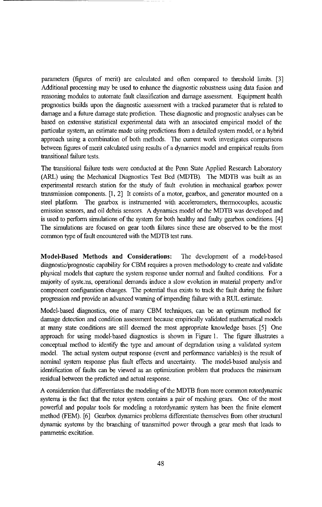parameters (figures of merit) are calculated and often compared to threshold limits. [3] Additional processing may be used to enhance the diagnostic robustness using data fusion and reasoning modules to automate fault classification and damage assessment. Equipment health prognostics builds upon the diagnostic assessment with a tracked parameter that is related to damage and a future damage state prediction. These diagnostic and prognostic analyses can be based on extensive statistical experimental data with an associated empirical model of the particular system, an estimate made using predictions from a detailed system model, or a hybrid approach using a combination of both methods. The current work investigates comparisons between figures of merit calculated using results of a dynamics model and empirical results from transitional failure tests.

The transitional failure tests were conducted at the Penn State Applied Research Laboratory (ARL) using the Mechanical Diagnostics Test Bed (MDTB). The MDTB was built as an experimental research station for the study of fault evolution in mechanical gearbox power transmission components. [1, 2] It consists of a motor, gearbox, and generator mounted on a steel platform. The gearbox is instrumented with accelerometers, thermocouples, acoustic emission sensors, and oil debris sensors. A dynamics model of the MDTB was developed and is used to perform simulations of the system for both healthy and faulty gearbox conditions. [4] The simulations are focused on gear tooth fiilures since these are observed to be the most common type of fault encountered with the MDTB test runs.

Model-Based Methods and Considerations: The development of a model-based diagnostic/prognostic capability for CBM requires a proven methodology to create and validate physical models that capture the system response under normal and faulted conditions. For a majority of systems, operational demands induce a slow evolution in material property and/or component configuration changes. The potential thus exists to track the fault during the failure progression and provide an advanced warning of impending failure with a RUL estimate.

Model-based diagnostics, one of many CBM techniques, can be an optimum method for damage detection and condition assessment because empirically validated mathematical models at many state conditions are still deemed the most appropriate knowledge bases. [51 One approach for using model-based diagnostics is shown in Figure 1. The figure illustrates a conceptual method to identify the type and amount of degradation using a validated system model. The actual system output response (event and performance variables) is the result of nominal system response plus fault effects and uncertainty. The model-based analysis and identification of faults can be viewed as an optimization problem that produces the minimum residual between the predicted and actual response.

A consideration that differentiates the modeling of the MDTB from more common rotordynamic systems is the fact that the rotor system contains a pair of meshing gears. One of the most powerful and popular tools for modeling a rotordynamic system has been the finite element method (FEM). [6] Gearbox dynamics problems differentiate themselves from other structural dynamic systems by the branching of transmitted power through a gear mesh that leads to parametric excitation.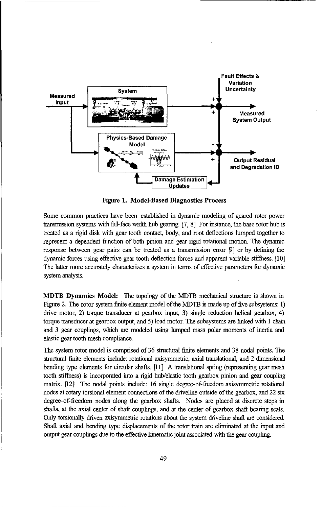

Figure **1.** Model-Based Diagnostics Process

Some common practices have been established in dynamic modeling of geared rotor power transmission systems with frll-face width hub gearing. [7, 8] For instance, the base rotor hub is treated as a rigid disk with gear tooth contact, body, and root deflections lumped together to represent a dependent function of both pinion and gear rigid rotational motion. The dynamic response between gear pairs can be treated as a transmission error **F]** or by defining the dynamic forces using effective gear tooth deflection forces and apparent variable stiffness. [10] The latter more accurately characterizes a system in terms of effective parameters for dynamic system analysis.

MDTB Dynamics Model: The topology of the MDTB mechanical structure is shown in Figure 2. The rotor system finite element model of the MDTB is made up of five subsystems: 1) drive motor, 2) torque transducer at gearbox input, 3) single reduction helical gearbox, 4) torque transducer at gearbox output, and 5) load motor. The subsystems are linked with I chain and 3 gear couplings, which are modeled using lumped mass polar moments of inertia and elastic gear tooth mesh compliance.

The system rotor model is comprised of 36 structural finite elements and 38 nodal points. The structural finite elements include: rotational axisymmetric, axial translational, and 2-dimensional bending type elements for circular shafts. [11] A translational spring (representing gear mesh tooth stiffness) is incorporated into a rigid hub/elastic tooth gearbox pinion and gear coupling matrix. [12] The nodal points include: 16 single degree-of-freedom axisymmetric rotational nodes at rotary torsional element connections of the driveline outside of the gearbox, and 22 six degree-of-ffreedom nodes along the gearbox shafts. Nodes are placed at discrete steps in shafts, at the axial center of shaft couplings, and at the center of gearbox shaft bearing seats. Only torsionally driven axisymmetric rotations about the system driveline shaft are considered. Shaft axial and bending type displacements of the rotor train are eliminated at the input and output gear couplings due to the effective kinematic joint associated with the gear coupling.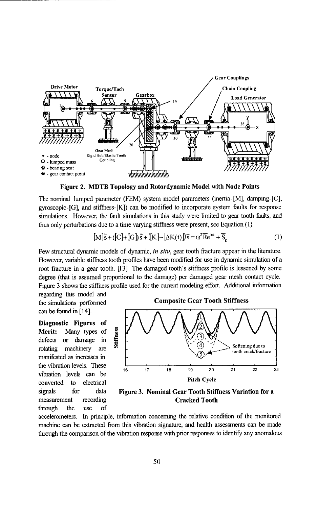

Figure 2. MDTB Topology and Rotordynamic Model with Node Points

The nominal lumped parameter (FEM) system model parameters (inertia-[M], damping-[C],  $gyroscopic-[G]$ , and stiffness- $[K]$ ) can be modified to incorporate system faults for response simulations. However, the fault simulations in this study were limited to gear tooth faults, and thus only perturbations due to a time varying stiffhess were present, see Equation (1).

$$
[M]\ddot{s} + ([C] + [G]\dot{s} + ([K] - [\Delta K(t)])\overline{s} = \omega^2 \overline{Re}^{k\alpha} + \overline{S}_e
$$
 (1)

Few structural dynamic models of dynamic, *in situ,* gear tooth fracture appear in the literature. However, variable stiffness tooth profiles have been modified for use in dynamic simulation of a root fracture in a gear tooth. [13] The damaged tooth's stiffness profile is lessened by some degree (that is assumed proportional to the damage) per damaged gear mesh contact cycle. Figure 3 shows the stiffiess profile used for the current modeling effort. Additional information

regarding this model and can be found in [14].

Diagnostic Figures of Merit: Many types of **E**<br>defects or damage in defects or damage in through the use of



signals for data Figure **3.** Nominal Gear Tooth Stiffness Variation for a measurement recording Cracked Tooth

accelerometers. In principle, information concerning the relative condition of the monitored machine can be extracted from this vibration signature, and health assessments can be made through the comparison of the vibration response with prior responses to identify any anomalous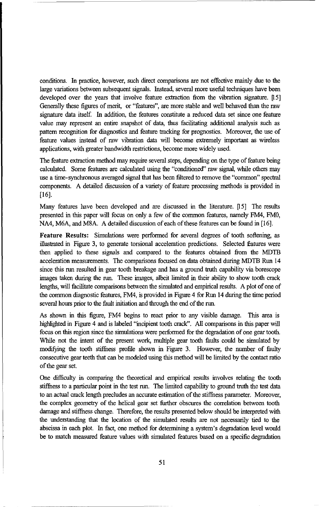conditions. In practice, however, such direct comparisons are not effective mainly due to the large variations between subsequent signals. Instead, several more useful techniques have been developed over the years that involve feature extraction from the vibration signature. [15] Generally these figures of merit, or "features", are more stable and well behaved than the raw signature data itself. In addition, the features constitute a reduced data set since one feature value may represent an entire snapshot of data, thus facilitating additional analysis such as pattern recognition for diagnostics and feature tracking for prognostics. Moreover, the use of feature values instead of raw vibration data will become extremely important as wireless applications, with greater bandwidth restrictions, become more widely used.

The feature extraction method may require several steps, depending on the type of feature being calculated. Some features are calculated using the "conditioned" raw signal, while others may use a time-synchronous averaged signal that has been filtered to remove the "common" spectral components. A detailed discussion of a variety of feature processing methods is provided in [16].

Many features have been developed and are discussed in the literature. [15] The results presented in this paper will focus on only a few of the common features, namely FM4, FMO, NA4, M6A, and M8A. A detailed discussion of each of these features can be found in [16].

Feature Results: Simulations were performed for several degrees of tooth softening, as illustrated in Figure 3, to generate torsional acceleration predictions. Selected fiatures were then applied to these signals and compared to the features obtained from the MDTB acceleration measurements. The comparisons focused on data obtained during MDTB Run 14 since this run resulted in gear tooth breakage and has a ground truth capability via borescope images taken during the run. These images, albeit limited in their ability to show tooth crack lengths, will facilitate comparisons between the simulated and empirical results. A plot of one of the common diagnostic features, FM4, is provided in Figure 4 for Run 14 during the time period several hours prior to the fault initiation and through the end of the run.

As shown in this figure, FM4 begins to react prior to any visible damage. This area is highlighted in Figure 4 and is labeled "incipient tooth crack". All comparisons in this paper will focus on this region since the simulations were performed for the degradation of one gear tooth. While not the intent of the present work, multiple gear tooth faults could be simulated by modifying the tooth stiffless profile shown in Figure 3. However, the number of faulty consecutive gear teeth that can be modeled using this method will be limited by the contact ratio of the gear set.

One difficulty in comparing the theoretical and empirical results involves relating the tooth stiffness to a particular point in the test run. The limited capability to ground truth the test data to an actual crack length precludes an accurate estimation of the stiffness parameter. Moreover, the complex geometry of the helical gear set further obscures the correlation between tooth damage and stiffiess change. Therefore, the results presented below should be interpreted with the understanding that the location of the simulated results are not necessarily tied to the abscissa in each plot. In fact, one method for determining a system's degradation level would be to match measured feature values with simulated features based on a specific degradation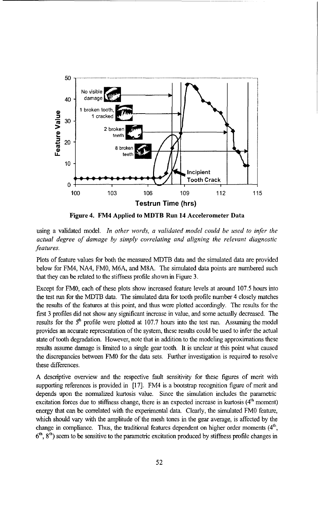

Figure 4. FM4 Applied to MDTB Run 14 Accelerometer Data

using a validated model. *In other words, a validated model could be used to infer the actual degree of damage by simply correlating and aligning the relevant diagnostic features.*

Plots of feature values for both the measured MDTB data and the simulated data are provided below for FM4, NA4, FMO, M6A, and M8A. The simulated data points are numbered such that they can be related to the stiffness profile shown in Figure 3.

Except for FMO, each of these plots show increased feature levels at around 107.5 hours into the test run for the MDTB data. The simulated data for tooth profile number 4 closely matches the results of the features at this point, and thus were plotted accordingly. The results for the first 3 profiles did not show any significant increase in value, and some actually decreased. The results for the **5h** profile were plotted at 107.7 hours into the test run. Assuming the model provides an accurate representation of the system, these results could be used to infer the actual state of tooth degradation. However, note that in addition to the modeling approximations these results assume damage is limited to a single gear tooth. It is unclear at this point what caused the discrepancies between FMO for the data sets. Further investigation is required to resolve these differences.

A descriptive overview and the respective fault sensitivity for these figures of merit with supporting references is provided in [17]. FM4 is a bootstrap recognition figure of merit and depends upon the normalized kurtosis value. Since the simulation includes the parametric excitation forces due to stiffness change, there is an expected increase in kurtosis  $(4<sup>th</sup>$  moment) energy that can be correlated with the experimental data. Clearly, the simulated FMO feature, which should vary with the amplitude of the mesh tones in the gear average, is affected by the change in compliance. Thus, the traditional features dependent on higher order moments  $(4<sup>th</sup>$ , **<sup>6</sup> th, 8 th)** seem to be sensitive to the parametric excitation produced by stiffness profile changes in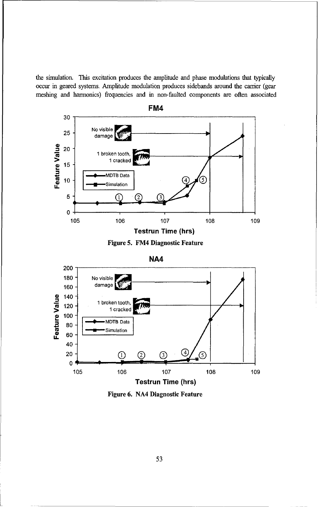the simulation. This excitation produces the amplitude and phase modulations that typically occur in geared systems. Amplitude modulation produces sidebands around the carrier (gear meshing and harmonics) frequencies and in non-faulted components are often associated









Figure **6. NA4** Diagnostic Feature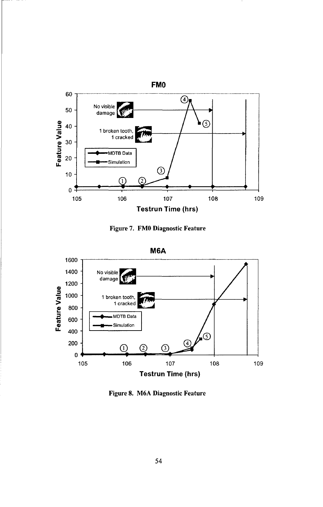

Figure 7. FMO Diagnostic Feature



Figure 8. M6A Diagnostic Feature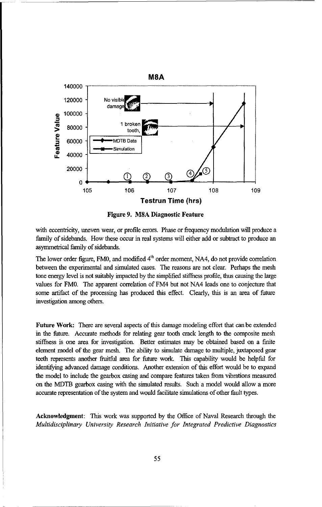



with eccentricity, uneven wear, or profile errors. Phase or frequency modulation will produce a family of sidebands. How these occur in real systems will either add or subtract to produce an asymmetrical family of sidebands.

The lower order figure, FM0, and modified 4<sup>th</sup> order moment, NA4, do not provide correlation between the experimental and simulated cases. The reasons are not clear. Perhaps the mesh tone energy level is not suitably impacted by the simplified stiffness profile, thus causing the large values for FMO. The apparent correlation of FM4 but not NA4 leads one to conjecture that some artifact of the processing has produced this effect. Clearly, this is an area of future investigation among others.

Future Work: There are several aspects of this damage modeling effort that can be extended in the future. Accurate methods for relating gear tooth crack length to the composite mesh stiffiness is one area for investigation. Better estimates may be obtained based on a finite element model of the gear mesh. The ability to simulate damage to multiple, juxtaposed gear teeth represents another fruitful area for future work. This capability would be helpful for identifying advanced damage conditions. Another extension of this effort would be to expand the model to include the gearbox casing and compare features taken from vibrations measured on the MDTB gearbox casing with the simulated results. Such a model would allow a more accurate representation of the system and would facilitate simulations of other fault types.

Acknowledgment: This work was supported by the Office of Naval Research through the *Multidisciplinary University Research Initiative for Integrated Predictive Diagnostics*